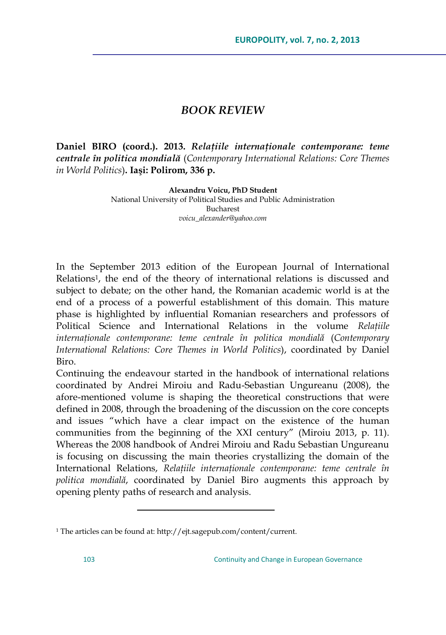## *BOOK REVIEW*

**Daniel BIRO (coord.). 2013.** *Relaţiile internaţionale contemporane: teme centrale în politica mondială* (*Contemporary International Relations: Core Themes in World Politics*)**. Iaşi: Polirom, 336 p.**

**Alexandru Voicu, PhD Student**

National University of Political Studies and Public Administration Bucharest *voicu\_alexander@yahoo.com*

In the September 2013 edition of the European Journal of International Relations<sup>1</sup>, the end of the theory of international relations is discussed and subject to debate; on the other hand, the Romanian academic world is at the end of a process of a powerful establishment of this domain. This mature phase is highlighted by influential Romanian researchers and professors of Political Science and International Relations in the volume *Relaţiile internaţionale contemporane: teme centrale în politica mondială* (*Contemporary International Relations: Core Themes in World Politics*), coordinated by Daniel Biro.

Continuing the endeavour started in the handbook of international relations coordinated by Andrei Miroiu and Radu-Sebastian Ungureanu (2008), the afore-mentioned volume is shaping the theoretical constructions that were defined in 2008, through the broadening of the discussion on the core concepts and issues "which have a clear impact on the existence of the human communities from the beginning of the XXI century" (Miroiu 2013, p. 11). Whereas the 2008 handbook of Andrei Miroiu and Radu Sebastian Ungureanu is focusing on discussing the main theories crystallizing the domain of the International Relations, *Relaţiile internaţionale contemporane: teme centrale în politica mondială*, coordinated by Daniel Biro augments this approach by opening plenty paths of research and analysis.

 $\overline{a}$ 

<sup>1</sup> The articles can be found at[: http://ejt.sagepub.com/content/current.](http://ejt.sagepub.com/content/current)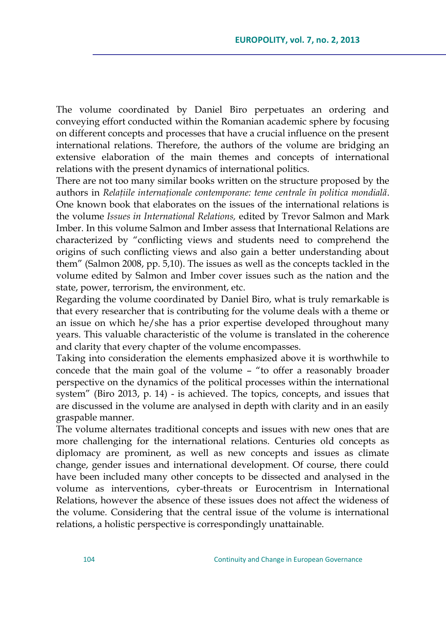The volume coordinated by Daniel Biro perpetuates an ordering and conveying effort conducted within the Romanian academic sphere by focusing on different concepts and processes that have a crucial influence on the present international relations. Therefore, the authors of the volume are bridging an extensive elaboration of the main themes and concepts of international relations with the present dynamics of international politics.

There are not too many similar books written on the structure proposed by the authors in *Relaţiile internaţionale contemporane: teme centrale în politica mondială*. One known book that elaborates on the issues of the international relations is the volume *Issues in International Relations,* edited by Trevor Salmon and Mark Imber. In this volume Salmon and Imber assess that International Relations are characterized by "conflicting views and students need to comprehend the origins of such conflicting views and also gain a better understanding about them" (Salmon 2008, pp. 5,10). The issues as well as the concepts tackled in the volume edited by Salmon and Imber cover issues such as the nation and the state, power, terrorism, the environment, etc.

Regarding the volume coordinated by Daniel Biro, what is truly remarkable is that every researcher that is contributing for the volume deals with a theme or an issue on which he/she has a prior expertise developed throughout many years. This valuable characteristic of the volume is translated in the coherence and clarity that every chapter of the volume encompasses.

Taking into consideration the elements emphasized above it is worthwhile to concede that the main goal of the volume – "to offer a reasonably broader perspective on the dynamics of the political processes within the international system" (Biro 2013, p. 14) - is achieved. The topics, concepts, and issues that are discussed in the volume are analysed in depth with clarity and in an easily graspable manner.

The volume alternates traditional concepts and issues with new ones that are more challenging for the international relations. Centuries old concepts as diplomacy are prominent, as well as new concepts and issues as climate change, gender issues and international development. Of course, there could have been included many other concepts to be dissected and analysed in the volume as interventions, cyber-threats or Eurocentrism in International Relations, however the absence of these issues does not affect the wideness of the volume. Considering that the central issue of the volume is international relations, a holistic perspective is correspondingly unattainable.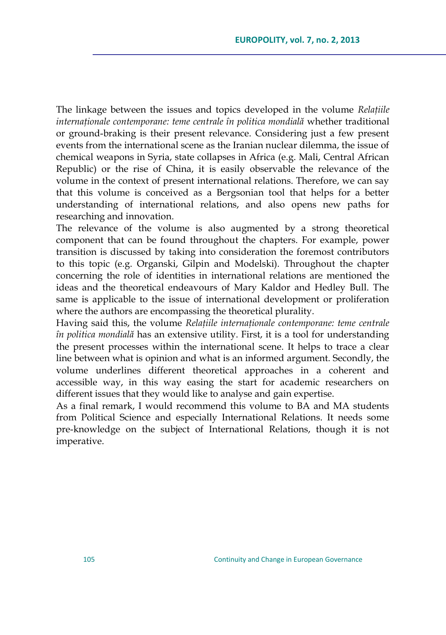The linkage between the issues and topics developed in the volume *Relaţiile internaţionale contemporane: teme centrale în politica mondială* whether traditional or ground-braking is their present relevance. Considering just a few present events from the international scene as the Iranian nuclear dilemma, the issue of chemical weapons in Syria, state collapses in Africa (e.g. Mali, Central African Republic) or the rise of China, it is easily observable the relevance of the volume in the context of present international relations. Therefore, we can say that this volume is conceived as a Bergsonian tool that helps for a better understanding of international relations, and also opens new paths for researching and innovation.

The relevance of the volume is also augmented by a strong theoretical component that can be found throughout the chapters. For example, power transition is discussed by taking into consideration the foremost contributors to this topic (e.g. Organski, Gilpin and Modelski). Throughout the chapter concerning the role of identities in international relations are mentioned the ideas and the theoretical endeavours of Mary Kaldor and Hedley Bull. The same is applicable to the issue of international development or proliferation where the authors are encompassing the theoretical plurality.

Having said this, the volume *Relaţiile internaţionale contemporane: teme centrale în politica mondială* has an extensive utility. First, it is a tool for understanding the present processes within the international scene. It helps to trace a clear line between what is opinion and what is an informed argument. Secondly, the volume underlines different theoretical approaches in a coherent and accessible way, in this way easing the start for academic researchers on different issues that they would like to analyse and gain expertise.

As a final remark, I would recommend this volume to BA and MA students from Political Science and especially International Relations. It needs some pre-knowledge on the subject of International Relations, though it is not imperative.